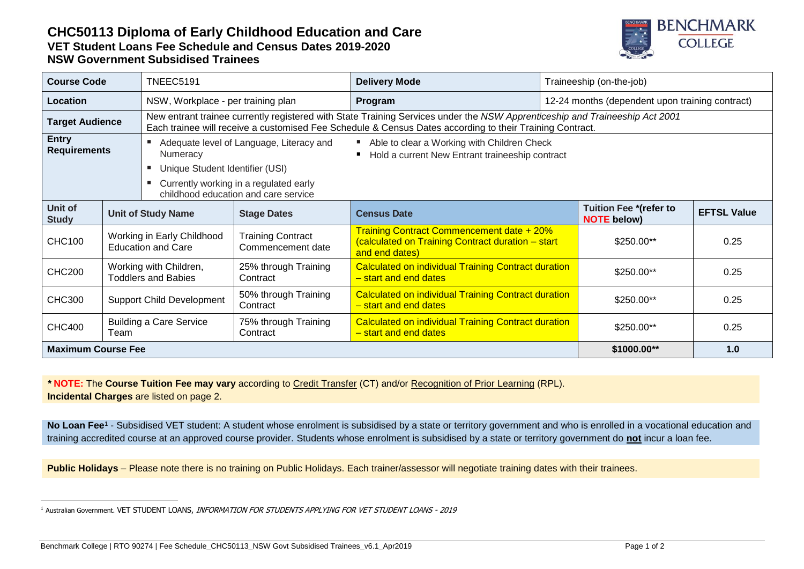## **CHC50113 Diploma of Early Childhood Education and Care VET Student Loans Fee Schedule and Census Dates 2019-2020 NSW Government Subsidised Trainees**



| <b>Course Code</b>                  |                                                         | <b>TNEEC5191</b>                                                                                                                                                                                                                        |                                               | <b>Delivery Mode</b>                                                                                             | Traineeship (on-the-job)                        |                                                     |                    |
|-------------------------------------|---------------------------------------------------------|-----------------------------------------------------------------------------------------------------------------------------------------------------------------------------------------------------------------------------------------|-----------------------------------------------|------------------------------------------------------------------------------------------------------------------|-------------------------------------------------|-----------------------------------------------------|--------------------|
| Location                            |                                                         | NSW, Workplace - per training plan                                                                                                                                                                                                      |                                               | Program                                                                                                          | 12-24 months (dependent upon training contract) |                                                     |                    |
| <b>Target Audience</b>              |                                                         | New entrant trainee currently registered with State Training Services under the NSW Apprenticeship and Traineeship Act 2001<br>Each trainee will receive a customised Fee Schedule & Census Dates according to their Training Contract. |                                               |                                                                                                                  |                                                 |                                                     |                    |
| <b>Entry</b><br><b>Requirements</b> |                                                         | Adequate level of Language, Literacy and<br><b>Numeracy</b>                                                                                                                                                                             |                                               | Able to clear a Working with Children Check<br>Hold a current New Entrant traineeship contract                   |                                                 |                                                     |                    |
|                                     |                                                         | Unique Student Identifier (USI)                                                                                                                                                                                                         |                                               |                                                                                                                  |                                                 |                                                     |                    |
|                                     |                                                         | Currently working in a regulated early<br>childhood education and care service                                                                                                                                                          |                                               |                                                                                                                  |                                                 |                                                     |                    |
| Unit of<br><b>Study</b>             |                                                         | <b>Unit of Study Name</b>                                                                                                                                                                                                               | <b>Stage Dates</b>                            | <b>Census Date</b>                                                                                               |                                                 | <b>Tuition Fee *(refer to</b><br><b>NOTE</b> below) | <b>EFTSL Value</b> |
| <b>CHC100</b>                       | Working in Early Childhood<br><b>Education and Care</b> |                                                                                                                                                                                                                                         | <b>Training Contract</b><br>Commencement date | Training Contract Commencement date + 20%<br>(calculated on Training Contract duration - start<br>and end dates) |                                                 | \$250.00**                                          | 0.25               |
| <b>CHC200</b>                       | Working with Children,<br><b>Toddlers and Babies</b>    |                                                                                                                                                                                                                                         | 25% through Training<br>Contract              | <b>Calculated on individual Training Contract duration</b><br>- start and end dates                              |                                                 | \$250.00**                                          | 0.25               |
| <b>CHC300</b>                       | <b>Support Child Development</b>                        |                                                                                                                                                                                                                                         | 50% through Training<br>Contract              | <b>Calculated on individual Training Contract duration</b><br>- start and end dates                              |                                                 | \$250.00**                                          | 0.25               |
| <b>CHC400</b>                       | <b>Building a Care Service</b><br>Team                  |                                                                                                                                                                                                                                         | 75% through Training<br>Contract              | <b>Calculated on individual Training Contract duration</b><br>- start and end dates                              |                                                 | \$250.00**                                          | 0.25               |
| <b>Maximum Course Fee</b>           |                                                         |                                                                                                                                                                                                                                         |                                               |                                                                                                                  |                                                 | \$1000.00**                                         | 1.0                |

*\** **NOTE:** The **Course Tuition Fee may vary** according to Credit Transfer (CT) and/or Recognition of Prior Learning (RPL). **Incidental Charges** are listed on page 2.

No Loan Fee<sup>1</sup> - Subsidised VET student: A student whose enrolment is subsidised by a state or territory government and who is enrolled in a vocational education and training accredited course at an approved course provider. Students whose enrolment is subsidised by a state or territory government do **not** incur a loan fee.

Public Holidays – Please note there is no training on Public Holidays. Each trainer/assessor will negotiate training dates with their trainees.

Benchmark College | RTO 90274 | Fee Schedule\_CHC50113\_NSW Govt Subsidised Trainees\_v6.1\_Apr2019 Page 1 of 2

 $\overline{a}$ <sup>1</sup> Australian Government. VET STUDENT LOANS, INFORMATION FOR STUDENTS APPLYING FOR VET STUDENT LOANS - 2019